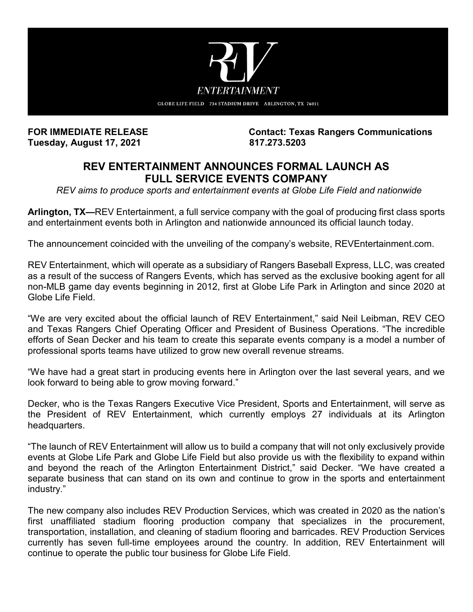

**Tuesday, August 17, 2021 817.273.5203**

**FOR IMMEDIATE RELEASE Contact: Texas Rangers Communications**

## **REV ENTERTAINMENT ANNOUNCES FORMAL LAUNCH AS FULL SERVICE EVENTS COMPANY**

*REV aims to produce sports and entertainment events at Globe Life Field and nationwide*

**Arlington, TX—**REV Entertainment, a full service company with the goal of producing first class sports and entertainment events both in Arlington and nationwide announced its official launch today.

The announcement coincided with the unveiling of the company's website, REVEntertainment.com.

REV Entertainment, which will operate as a subsidiary of Rangers Baseball Express, LLC, was created as a result of the success of Rangers Events, which has served as the exclusive booking agent for all non-MLB game day events beginning in 2012, first at Globe Life Park in Arlington and since 2020 at Globe Life Field.

"We are very excited about the official launch of REV Entertainment," said Neil Leibman, REV CEO and Texas Rangers Chief Operating Officer and President of Business Operations. "The incredible efforts of Sean Decker and his team to create this separate events company is a model a number of professional sports teams have utilized to grow new overall revenue streams.

"We have had a great start in producing events here in Arlington over the last several years, and we look forward to being able to grow moving forward."

Decker, who is the Texas Rangers Executive Vice President, Sports and Entertainment, will serve as the President of REV Entertainment, which currently employs 27 individuals at its Arlington headquarters.

"The launch of REV Entertainment will allow us to build a company that will not only exclusively provide events at Globe Life Park and Globe Life Field but also provide us with the flexibility to expand within and beyond the reach of the Arlington Entertainment District," said Decker. "We have created a separate business that can stand on its own and continue to grow in the sports and entertainment industry."

The new company also includes REV Production Services, which was created in 2020 as the nation's first unaffiliated stadium flooring production company that specializes in the procurement, transportation, installation, and cleaning of stadium flooring and barricades. REV Production Services currently has seven full-time employees around the country. In addition, REV Entertainment will continue to operate the public tour business for Globe Life Field.